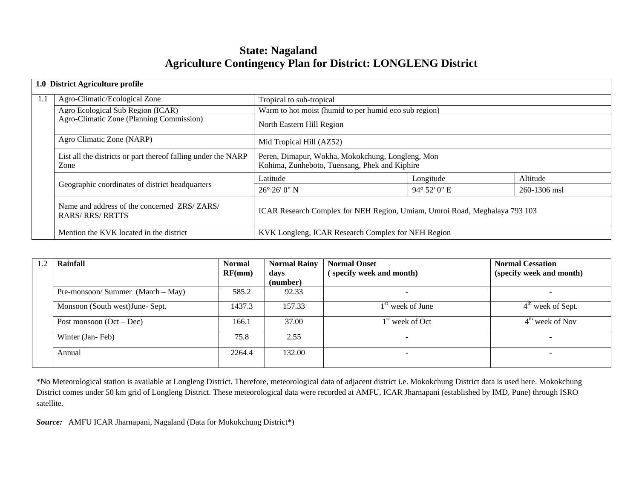# **State: Nagaland Agriculture Contingency Plan for District: LONGLENG District**

|     | 1.0 District Agriculture profile                                      |                                                                                                   |              |              |  |  |  |
|-----|-----------------------------------------------------------------------|---------------------------------------------------------------------------------------------------|--------------|--------------|--|--|--|
| 1.1 | Agro-Climatic/Ecological Zone                                         | Tropical to sub-tropical                                                                          |              |              |  |  |  |
|     | Agro Ecological Sub Region (ICAR)                                     | Warm to hot moist (humid to per humid eco sub region)                                             |              |              |  |  |  |
|     | Agro-Climatic Zone (Planning Commission)                              | North Eastern Hill Region                                                                         |              |              |  |  |  |
|     | Agro Climatic Zone (NARP)                                             | Mid Tropical Hill (AZ52)                                                                          |              |              |  |  |  |
|     | List all the districts or part thereof falling under the NARP<br>Zone | Peren, Dimapur, Wokha, Mokokchung, Longleng, Mon<br>Kohima, Zunheboto, Tuensang, Phek and Kiphire |              |              |  |  |  |
|     |                                                                       | Latitude                                                                                          | Longitude    | Altitude     |  |  |  |
|     | Geographic coordinates of district headquarters                       | $26^{\circ} 26' 0'' N$                                                                            | 94° 52' 0" E | 260-1306 msl |  |  |  |
|     | Name and address of the concerned ZRS/ZARS/<br><b>RARS/RRS/RRTTS</b>  | ICAR Research Complex for NEH Region, Umiam, Umroi Road, Meghalaya 793 103                        |              |              |  |  |  |
|     | Mention the KVK located in the district                               | KVK Longleng, ICAR Research Complex for NEH Region                                                |              |              |  |  |  |

| Rainfall                           | <b>Normal</b><br>RF(mm) | <b>Normal Rainy</b><br>days | <b>Normal Onset</b><br>(specify week and month) | <b>Normal Cessation</b><br>(specify week and month) |
|------------------------------------|-------------------------|-----------------------------|-------------------------------------------------|-----------------------------------------------------|
|                                    |                         | (number)                    |                                                 |                                                     |
| Pre-monsoon/Summer $(March - May)$ | 585.2                   | 92.33                       |                                                 |                                                     |
| Monsoon (South west) June- Sept.   | 1437.3                  | 157.33                      | $1st$ week of June                              | $4th$ week of Sept.                                 |
| Post monsoon $(Oct - Dec)$         | 166.1                   | 37.00                       | 1 <sup>st</sup> week of Oct                     | $4th$ week of Nov                                   |
| Winter (Jan-Feb)                   | 75.8                    | 2.55                        |                                                 |                                                     |
| Annual                             | 2264.4                  | 132.00                      |                                                 |                                                     |

\*No Meteorological station is available at Longleng District. Therefore, meteorological data of adjacent district i.e. Mokokchung District data is used here. Mokokchung District comes under 50 km grid of Longleng District. These meteorological data were recorded at AMFU, ICAR Jharnapani (established by IMD, Pune) through ISRO satellite.

*Source:* AMFU ICAR Jharnapani, Nagaland (Data for Mokokchung District\*)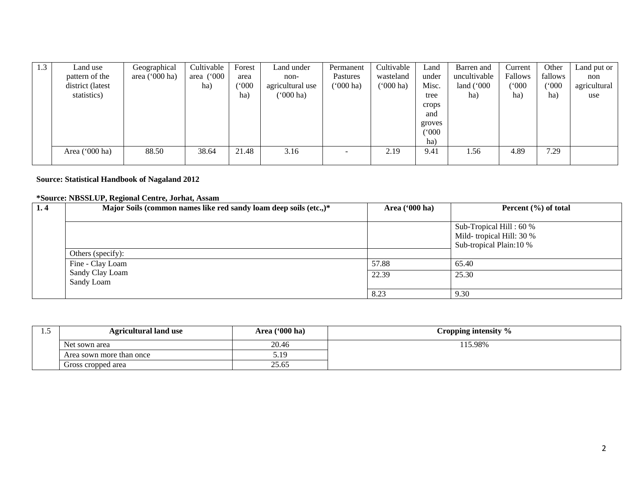| 1.3 | Land use         | Geographical     | Cultivable | Forest        | Land under        | Permanent | Cultivable  | Land   | Barren and   | Current | Other   | Land put or  |
|-----|------------------|------------------|------------|---------------|-------------------|-----------|-------------|--------|--------------|---------|---------|--------------|
|     | pattern of the   | area $('000 ha)$ | area ('000 | area          | non-              | Pastures  | wasteland   | under  | uncultivable | Fallows | fallows | non          |
|     | district (latest |                  | ha)        | $000^{\circ}$ | agricultural use  | ('000 ha) | $(000)$ ha) | Misc.  | land $(000)$ | ('000   | (000)   | agricultural |
|     | statistics)      |                  |            | ha)           | ( <b>'000 ha)</b> |           |             | tree   | ha)          | ha)     | ha)     | use          |
|     |                  |                  |            |               |                   |           |             | crops  |              |         |         |              |
|     |                  |                  |            |               |                   |           |             | and    |              |         |         |              |
|     |                  |                  |            |               |                   |           |             | groves |              |         |         |              |
|     |                  |                  |            |               |                   |           |             | (000)  |              |         |         |              |
|     |                  |                  |            |               |                   |           |             | ha)    |              |         |         |              |
|     | Area ('000 ha)   | 88.50            | 38.64      | 21.48         | 3.16              | -         | 2.19        | 9.41   | 1.56         | 4.89    | 7.29    |              |
|     |                  |                  |            |               |                   |           |             |        |              |         |         |              |

#### **Source: Statistical Handbook of Nagaland 2012**

#### **\*Source: NBSSLUP, Regional Centre, Jorhat, Assam**

| 1.4 | Major Soils (common names like red sandy loam deep soils (etc.,)* | Area $(900 \text{ ha})$ | Percent $(\% )$ of total                                                       |
|-----|-------------------------------------------------------------------|-------------------------|--------------------------------------------------------------------------------|
|     |                                                                   |                         | Sub-Tropical Hill: 60 %<br>Mild-tropical Hill: 30 %<br>Sub-tropical Plain:10 % |
|     | Others (specify):                                                 |                         |                                                                                |
|     | Fine - Clay Loam                                                  | 57.88                   | 65.40                                                                          |
|     | Sandy Clay Loam<br>Sandy Loam                                     | 22.39                   | 25.30                                                                          |
|     |                                                                   | 8.23                    | 9.30                                                                           |

| ⊥ ∙ັ | <b>Agricultural land use</b> | Area ('000 ha) | Cropping intensity % |
|------|------------------------------|----------------|----------------------|
|      | Net sown area                | 20.46          | 15.98%               |
|      | Area sown more than once     | ោ 10           |                      |
|      | Gross cropped area           | 25.65          |                      |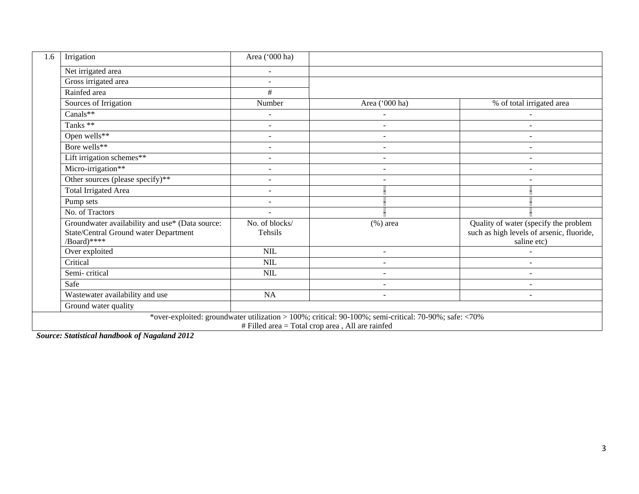| 1.6 | Irrigation                                                                                                                                                | Area ('000 ha)            |                          |                                                                                                   |  |  |  |  |  |
|-----|-----------------------------------------------------------------------------------------------------------------------------------------------------------|---------------------------|--------------------------|---------------------------------------------------------------------------------------------------|--|--|--|--|--|
|     | Net irrigated area                                                                                                                                        |                           |                          |                                                                                                   |  |  |  |  |  |
|     | Gross irrigated area                                                                                                                                      | $\sim$                    |                          |                                                                                                   |  |  |  |  |  |
|     | Rainfed area                                                                                                                                              | #                         |                          |                                                                                                   |  |  |  |  |  |
|     | Sources of Irrigation                                                                                                                                     | Number                    | Area ('000 ha)           | % of total irrigated area                                                                         |  |  |  |  |  |
|     | Canals**                                                                                                                                                  |                           | $\sim$                   | $\sim$                                                                                            |  |  |  |  |  |
|     | Tanks <sup>**</sup>                                                                                                                                       |                           | $\sim$                   |                                                                                                   |  |  |  |  |  |
|     | Open wells**                                                                                                                                              |                           | $\sim$                   | $\sim$                                                                                            |  |  |  |  |  |
|     | Bore wells**                                                                                                                                              | $\sim$                    | $\sim$                   | $\sim$                                                                                            |  |  |  |  |  |
|     | Lift irrigation schemes**                                                                                                                                 | $\overline{\phantom{a}}$  | $\blacksquare$           | $\sim$                                                                                            |  |  |  |  |  |
|     | Micro-irrigation**                                                                                                                                        | $\blacksquare$            | $\sim$                   | $\sim$                                                                                            |  |  |  |  |  |
|     | Other sources (please specify)**                                                                                                                          | $\overline{\phantom{a}}$  |                          |                                                                                                   |  |  |  |  |  |
|     | <b>Total Irrigated Area</b>                                                                                                                               | $\blacksquare$            |                          |                                                                                                   |  |  |  |  |  |
|     | Pump sets                                                                                                                                                 | $\blacksquare$            |                          |                                                                                                   |  |  |  |  |  |
|     | No. of Tractors                                                                                                                                           | $\sim$                    |                          |                                                                                                   |  |  |  |  |  |
|     | Groundwater availability and use* (Data source:<br>State/Central Ground water Department<br>/Board)****                                                   | No. of blocks/<br>Tehsils | $(\%)$ area              | Quality of water (specify the problem<br>such as high levels of arsenic, fluoride,<br>saline etc) |  |  |  |  |  |
|     | Over exploited                                                                                                                                            | <b>NIL</b>                | $\sim$                   | $\sim$                                                                                            |  |  |  |  |  |
|     | Critical                                                                                                                                                  | <b>NIL</b>                | $\blacksquare$           | $\overline{\phantom{a}}$                                                                          |  |  |  |  |  |
|     | Semi-critical                                                                                                                                             | <b>NIL</b>                | $\overline{\phantom{a}}$ | $\overline{\phantom{a}}$                                                                          |  |  |  |  |  |
|     | Safe                                                                                                                                                      |                           | $\overline{\phantom{a}}$ | $\blacksquare$                                                                                    |  |  |  |  |  |
|     | Wastewater availability and use                                                                                                                           | <b>NA</b>                 | $\overline{\phantom{a}}$ | $\overline{\phantom{a}}$                                                                          |  |  |  |  |  |
|     | Ground water quality                                                                                                                                      |                           |                          |                                                                                                   |  |  |  |  |  |
|     | *over-exploited: groundwater utilization > 100%; critical: 90-100%; semi-critical: 70-90%; safe: <70%<br># Filled area = Total crop area, All are rainfed |                           |                          |                                                                                                   |  |  |  |  |  |

*Source: Statistical handbook of Nagaland 2012*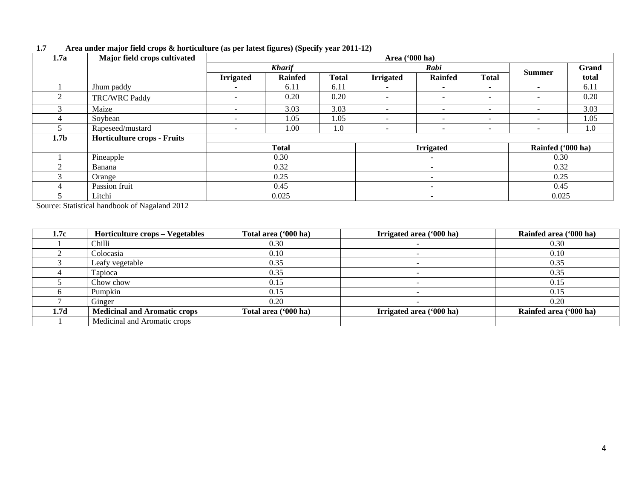| 1.7a             | Major field crops cultivated |                              |                |                          |                          |                          |                              |                          |       |
|------------------|------------------------------|------------------------------|----------------|--------------------------|--------------------------|--------------------------|------------------------------|--------------------------|-------|
|                  |                              |                              | <b>Kharif</b>  |                          | Rabi                     |                          |                              |                          | Grand |
|                  |                              | <b>Irrigated</b>             | <b>Rainfed</b> | <b>Total</b>             | <b>Irrigated</b>         | <b>Rainfed</b>           | <b>Total</b>                 | <b>Summer</b>            | total |
|                  | Jhum paddy                   | $\overline{\phantom{a}}$     | 6.11           | 6.11                     | $\overline{\phantom{a}}$ | ۰.                       | $\overline{\phantom{a}}$     | $\overline{\phantom{0}}$ | 6.11  |
| 2                | TRC/WRC Paddy                | $\qquad \qquad \blacksquare$ | 0.20           | 0.20                     | $\overline{\phantom{a}}$ |                          | $\qquad \qquad \blacksquare$ | $\sim$                   | 0.20  |
| $\mathcal{E}$    | Maize                        | $\overline{\phantom{a}}$     | 3.03           | 3.03                     | $\overline{\phantom{a}}$ | $\sim$                   | $\overline{\phantom{a}}$     | $\overline{\phantom{0}}$ | 3.03  |
|                  | Soybean                      | $\overline{\phantom{a}}$     | 1.05           | 1.05                     | $\sim$                   | $\sim$                   | $\sim$                       | $\overline{\phantom{0}}$ | 1.05  |
|                  | Rapeseed/mustard             | $\qquad \qquad \blacksquare$ | 1.00           | 1.0                      | $\sim$                   |                          | $\overline{\phantom{a}}$     | $\overline{\phantom{0}}$ | 1.0   |
| 1.7 <sub>b</sub> | Horticulture crops - Fruits  |                              |                |                          |                          |                          |                              |                          |       |
|                  |                              |                              | <b>Total</b>   |                          | <b>Irrigated</b>         |                          |                              | Rainfed ('000 ha)        |       |
|                  | Pineapple                    |                              | 0.30           |                          |                          |                          |                              | 0.30                     |       |
| ി                | Banana                       |                              | 0.32           |                          |                          | $\overline{\phantom{a}}$ |                              | 0.32                     |       |
|                  | Orange                       |                              | 0.25           |                          | $\overline{\phantom{0}}$ |                          |                              | 0.25                     |       |
|                  | Passion fruit                | 0.45                         |                | $\overline{\phantom{a}}$ |                          | 0.45                     |                              |                          |       |
|                  | Litchi                       |                              | 0.025          |                          | $\overline{\phantom{0}}$ |                          |                              | 0.025                    |       |

## **1.7 Area under major field crops & horticulture (as per latest figures) (Specify year 2011-12)**

Source: Statistical handbook of Nagaland 2012

| 1.7c | Horticulture crops – Vegetables     | Total area ('000 ha) | Irrigated area ('000 ha) | Rainfed area ('000 ha) |
|------|-------------------------------------|----------------------|--------------------------|------------------------|
|      | Chilli                              | 0.30                 |                          | 0.30                   |
|      | Colocasia                           | 0.10                 |                          | 0.10                   |
|      | Leafy vegetable                     | 0.35                 |                          | 0.35                   |
|      | Tapioca                             | 0.35                 |                          | 0.35                   |
|      | Chow chow                           | 0.15                 |                          | 0.15                   |
|      | Pumpkin                             | 0.15                 |                          | 0.15                   |
|      | Ginger                              | 0.20                 |                          | 0.20                   |
| 1.7d | <b>Medicinal and Aromatic crops</b> | Total area ('000 ha) | Irrigated area ('000 ha) | Rainfed area ('000 ha) |
|      | Medicinal and Aromatic crops        |                      |                          |                        |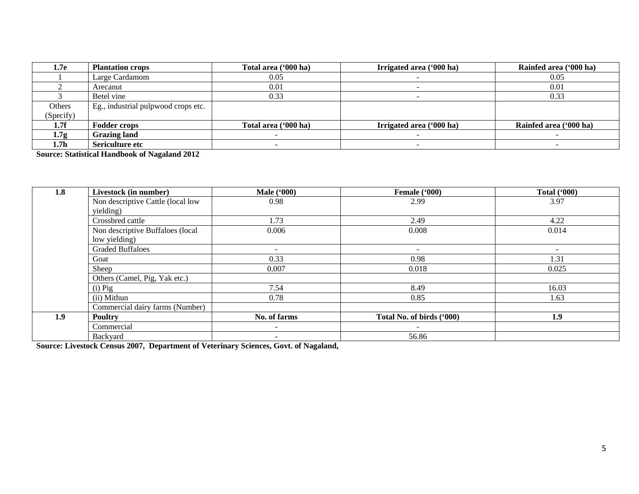| 1.7e      | <b>Plantation crops</b>             | Total area ('000 ha) | Irrigated area ('000 ha) | Rainfed area ('000 ha) |
|-----------|-------------------------------------|----------------------|--------------------------|------------------------|
|           | Large Cardamom                      | 0.05                 |                          | 0.05                   |
|           | Arecanut                            | 0.01                 |                          | 0.01                   |
|           | Betel vine                          | 0.33                 |                          | 0.33                   |
| Others    | Eg., industrial pulpwood crops etc. |                      |                          |                        |
| (Specify) |                                     |                      |                          |                        |
| 1.7f      | <b>Fodder crops</b>                 | Total area ('000 ha) | Irrigated area ('000 ha) | Rainfed area ('000 ha) |
| 1.7g      | <b>Grazing land</b>                 |                      |                          |                        |
| 1.7h      | Sericulture etc                     |                      |                          |                        |

**Source: Statistical Handbook of Nagaland 2012**

| 1.8 | Livestock (in number)             | <b>Male</b> ('000)       | Female ('000)             | <b>Total ('000)</b> |
|-----|-----------------------------------|--------------------------|---------------------------|---------------------|
|     | Non descriptive Cattle (local low | 0.98                     | 2.99                      | 3.97                |
|     | yielding)                         |                          |                           |                     |
|     | Crossbred cattle                  | 1.73                     | 2.49                      | 4.22                |
|     | Non descriptive Buffaloes (local  | 0.006                    | 0.008                     | 0.014               |
|     | low yielding)                     |                          |                           |                     |
|     | <b>Graded Buffaloes</b>           | $\overline{\phantom{0}}$ | $\overline{\phantom{0}}$  |                     |
|     | Goat                              | 0.33                     | 0.98                      | 1.31                |
|     | Sheep                             | 0.007                    | 0.018                     | 0.025               |
|     | Others (Camel, Pig, Yak etc.)     |                          |                           |                     |
|     | $(i)$ Pig                         | 7.54                     | 8.49                      | 16.03               |
|     | (ii) Mithun                       | 0.78                     | 0.85                      | 1.63                |
|     | Commercial dairy farms (Number)   |                          |                           |                     |
| 1.9 | <b>Poultry</b>                    | No. of farms             | Total No. of birds ('000) | 1.9                 |
|     | Commercial                        | $\overline{\phantom{0}}$ | ۰                         |                     |
|     | Backyard                          | $\overline{\phantom{0}}$ | 56.86                     |                     |

**Source: Livestock Census 2007, Department of Veterinary Sciences, Govt. of Nagaland,**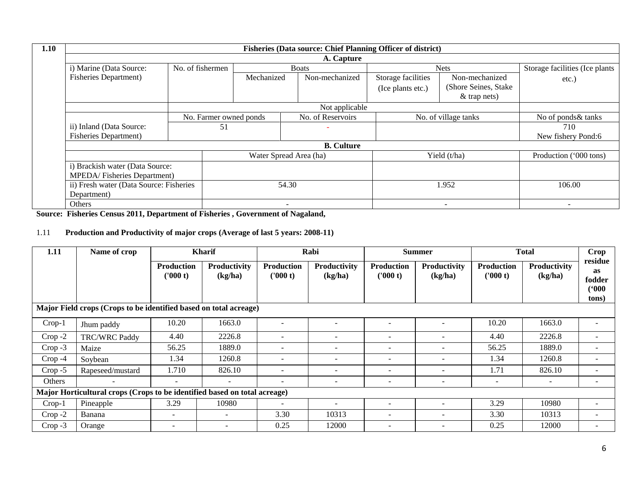| 1.10 |                                         |                        |                | <b>Fisheries (Data source: Chief Planning Officer of district)</b> |                    |                       |                                |
|------|-----------------------------------------|------------------------|----------------|--------------------------------------------------------------------|--------------------|-----------------------|--------------------------------|
|      |                                         |                        |                | A. Capture                                                         |                    |                       |                                |
|      | i) Marine (Data Source:                 | No. of fishermen       |                | <b>Boats</b>                                                       |                    | <b>Nets</b>           | Storage facilities (Ice plants |
|      | <b>Fisheries Department)</b>            |                        | Mechanized     | Non-mechanized                                                     | Storage facilities | Non-mechanized        | etc.)                          |
|      |                                         |                        |                |                                                                    | (Ice plants etc.)  | (Shore Seines, Stake) |                                |
|      |                                         |                        |                |                                                                    |                    | $&$ trap nets)        |                                |
|      |                                         |                        | Not applicable |                                                                    |                    |                       |                                |
|      |                                         | No. Farmer owned ponds |                | No. of Reservoirs                                                  |                    | No. of village tanks  | No of ponds& tanks             |
|      | ii) Inland (Data Source:                | 51                     |                |                                                                    |                    |                       | 710                            |
|      | <b>Fisheries Department)</b>            |                        |                |                                                                    |                    |                       | New fishery Pond:6             |
|      |                                         |                        |                | <b>B.</b> Culture                                                  |                    |                       |                                |
|      |                                         |                        |                | Water Spread Area (ha)                                             |                    | Yield (t/ha)          | Production ('000 tons)         |
|      | i) Brackish water (Data Source:         |                        |                |                                                                    |                    |                       |                                |
|      | MPEDA/Fisheries Department)             |                        |                |                                                                    |                    |                       |                                |
|      | ii) Fresh water (Data Source: Fisheries |                        |                | 54.30                                                              |                    | 1.952                 | 106.00                         |
|      | Department)                             |                        |                |                                                                    |                    |                       |                                |
|      | Others                                  |                        |                | $\overline{\phantom{0}}$                                           |                    |                       |                                |

**Source: Fisheries Census 2011, Department of Fisheries , Government of Nagaland,** 

## 1.11 **Production and Productivity of major crops (Average of last 5 years: 2008-11)**

| 1.11                                                              | Name of crop                                                              |                               | <b>Kharif</b>            | Rabi<br><b>Summer</b>        |                          |                               | <b>Total</b>                   | Crop                          |                                |                                                  |
|-------------------------------------------------------------------|---------------------------------------------------------------------------|-------------------------------|--------------------------|------------------------------|--------------------------|-------------------------------|--------------------------------|-------------------------------|--------------------------------|--------------------------------------------------|
|                                                                   |                                                                           | <b>Production</b><br>('000 t) | Productivity<br>(kg/ha)  | <b>Production</b><br>(000 t) | Productivity<br>(kg/ha)  | <b>Production</b><br>('000 t) | <b>Productivity</b><br>(kg/ha) | <b>Production</b><br>('000 t) | <b>Productivity</b><br>(kg/ha) | residue<br><b>as</b><br>fodder<br>(900)<br>tons) |
| Major Field crops (Crops to be identified based on total acreage) |                                                                           |                               |                          |                              |                          |                               |                                |                               |                                |                                                  |
| $Crop-1$                                                          | Jhum paddy                                                                | 10.20                         | 1663.0                   |                              |                          |                               |                                | 10.20                         | 1663.0                         |                                                  |
| $Crop -2$                                                         | <b>TRC/WRC Paddy</b>                                                      | 4.40                          | 2226.8                   | $\overline{\phantom{a}}$     | $\overline{\phantom{a}}$ | -                             |                                | 4.40                          | 2226.8                         |                                                  |
| $Crop -3$                                                         | Maize                                                                     | 56.25                         | 1889.0                   | $\overline{\phantom{a}}$     | $\overline{\phantom{a}}$ | -                             |                                | 56.25                         | 1889.0                         |                                                  |
| $Crop -4$                                                         | Soybean                                                                   | 1.34                          | 1260.8                   | $\overline{\phantom{a}}$     | $\overline{\phantom{a}}$ | ۰                             |                                | 1.34                          | 1260.8                         |                                                  |
| $Crop - 5$                                                        | Rapeseed/mustard                                                          | 1.710                         | 826.10                   | $\overline{\phantom{0}}$     | $\overline{\phantom{a}}$ |                               |                                | 1.71                          | 826.10                         | $\overline{\phantom{0}}$                         |
| Others                                                            |                                                                           | $\overline{\phantom{a}}$      | -                        | $\overline{\phantom{a}}$     | $\overline{\phantom{a}}$ | ۰                             |                                | $\overline{\phantom{a}}$      | $\overline{\phantom{a}}$       |                                                  |
|                                                                   | Major Horticultural crops (Crops to be identified based on total acreage) |                               |                          |                              |                          |                               |                                |                               |                                |                                                  |
| $Crop-1$                                                          | Pineapple                                                                 | 3.29                          | 10980                    | $\overline{\phantom{a}}$     | $\overline{\phantom{a}}$ | ۰                             |                                | 3.29                          | 10980                          | $\overline{\phantom{m}}$                         |
| $Crop -2$                                                         | Banana                                                                    | $\overline{\phantom{a}}$      | $\overline{\phantom{a}}$ | 3.30                         | 10313                    | ۰                             |                                | 3.30                          | 10313                          |                                                  |
| $Crop -3$                                                         | Orange                                                                    | $\overline{\phantom{a}}$      |                          | 0.25                         | 12000                    | -                             |                                | 0.25                          | 12000                          |                                                  |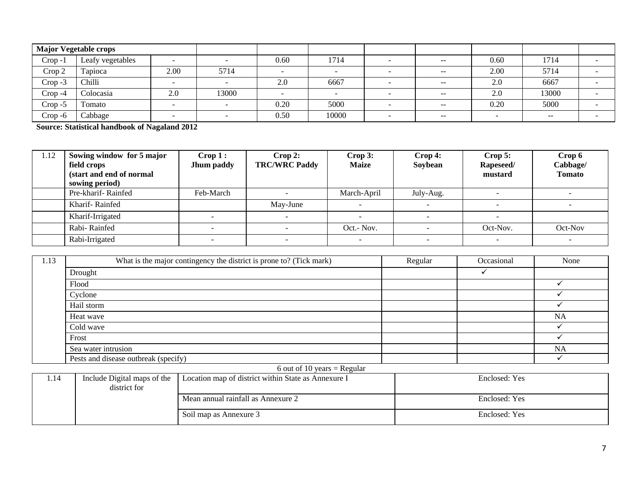|            | <b>Major Vegetable crops</b> |        |       |        |                          |               |                          |               |                          |
|------------|------------------------------|--------|-------|--------|--------------------------|---------------|--------------------------|---------------|--------------------------|
| $Crop -1$  | Leafy vegetables             | -      |       | 0.60   | 1714                     | $- -$         | 0.60                     | 1714          |                          |
| Crop 2     | Tapioca                      | 2.00   | 5714  | $\sim$ | $\overline{\phantom{0}}$ | $--$          | 2.00                     | 5714          | <b>COL</b>               |
| $Crop -3$  | Chilli                       | $\sim$ |       | 2.0    | 6667                     | $- -$         | 2.0                      | 6667          | $\overline{\phantom{0}}$ |
| $Crop -4$  | Colocasia                    | 2.0    | 13000 |        |                          | $- -$         | 2.0                      | 13000         |                          |
| $Crop - 5$ | Fomato                       |        |       | 0.20   | 5000                     | $- -$         | 0.20                     | 5000          |                          |
| Crop-6     | Cabbage                      |        |       | 0.50   | 10000                    | $\sim$ $\sim$ | $\overline{\phantom{a}}$ | $\sim$ $\sim$ |                          |

**Source: Statistical handbook of Nagaland 2012**

| 1.12 | Sowing window for 5 major<br>field crops<br>(start and end of normal<br>sowing period) | $\bf{Crop 1:}$<br>Jhum paddy | Crop 2:<br><b>TRC/WRC Paddy</b> | Crop 3:<br><b>Maize</b> | $\bf{Crop 4:}$<br>Soybean | Crop 5:<br>Rapeseed/<br>mustard | Crop 6<br>Cabbage/<br><b>Tomato</b> |
|------|----------------------------------------------------------------------------------------|------------------------------|---------------------------------|-------------------------|---------------------------|---------------------------------|-------------------------------------|
|      | Pre-kharif-Rainfed                                                                     | Feb-March                    |                                 | March-April             | July-Aug.                 |                                 |                                     |
|      | Kharif-Rainfed                                                                         |                              | May-June                        |                         |                           |                                 |                                     |
|      | Kharif-Irrigated                                                                       |                              |                                 |                         |                           |                                 |                                     |
|      | Rabi-Rainfed                                                                           |                              |                                 | Oct.- Nov.              |                           | Oct-Nov.                        | Oct-Nov                             |
|      | Rabi-Irrigated                                                                         |                              |                                 |                         |                           |                                 |                                     |

| 1.13 | What is the major contingency the district is prone to? (Tick mark) | Regular | Occasional | None      |
|------|---------------------------------------------------------------------|---------|------------|-----------|
|      | Drought                                                             |         |            |           |
|      | Flood                                                               |         |            |           |
|      | Cyclone                                                             |         |            |           |
|      | Hail storm                                                          |         |            |           |
|      | Heat wave                                                           |         |            | <b>NA</b> |
|      | Cold wave                                                           |         |            |           |
|      | Frost                                                               |         |            |           |
|      | Sea water intrusion                                                 |         |            | <b>NA</b> |
|      | Pests and disease outbreak (specify)                                |         |            |           |

#### 6 out of 10 years =  $Regular$

| Include Digital maps of the | Location map of district within State as Annexure I | Enclosed: Yes |
|-----------------------------|-----------------------------------------------------|---------------|
| district for                |                                                     |               |
|                             | Mean annual rainfall as Annexure 2                  | Enclosed: Yes |
|                             | Soil map as Annexure 3                              | Enclosed: Yes |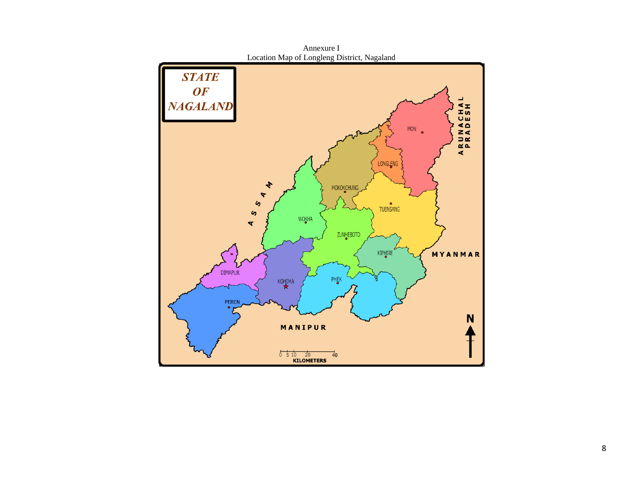

Annexure I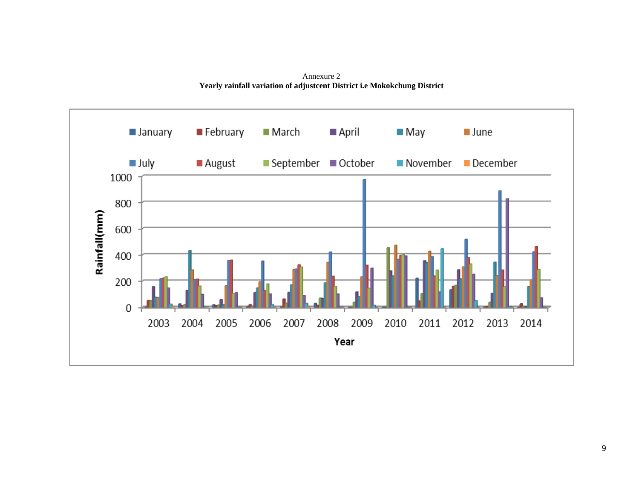Annexure 2 **Yearly rainfall variation of adjustcent District i.e Mokokchung District**

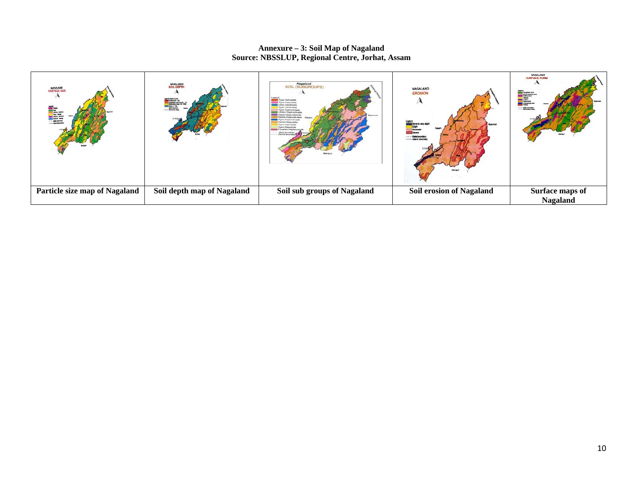#### **Annexure – 3: Soil Map of Nagaland Source: NBSSLUP, Regional Centre, Jorhat, Assam**

| NAGALAND<br>PARTICLE SIZE<br>m. | <b>NASALANAD</b><br>SOIL DEPTH<br>eni jäselt in eti<br><mark>15</mark> Stalius (16 - 16)<br>15 Stalius esperanti (16<br>15 Stalius 17 - 16)<br>15 Stalius 17 - 16)<br>the burden | Negaland<br>SOIL (SUBGROUPS)<br><b>Typic Paleuda</b><br>Tuoris Hagisabutt<br><b>Type Palmatuk</b><br><b>Saventin Members</b><br>district bour | NAGALAND<br><b>EROSION</b><br>Mysteries<br><b>Severa</b> | <b>NAGALAND</b><br><b>SURFACE FORE</b><br><b>EE</b><br>. state tenant |
|---------------------------------|----------------------------------------------------------------------------------------------------------------------------------------------------------------------------------|-----------------------------------------------------------------------------------------------------------------------------------------------|----------------------------------------------------------|-----------------------------------------------------------------------|
| Particle size map of Nagaland   | Soil depth map of Nagaland                                                                                                                                                       | Soil sub groups of Nagaland                                                                                                                   | <b>Soil erosion of Nagaland</b>                          | Surface maps of<br><b>Nagaland</b>                                    |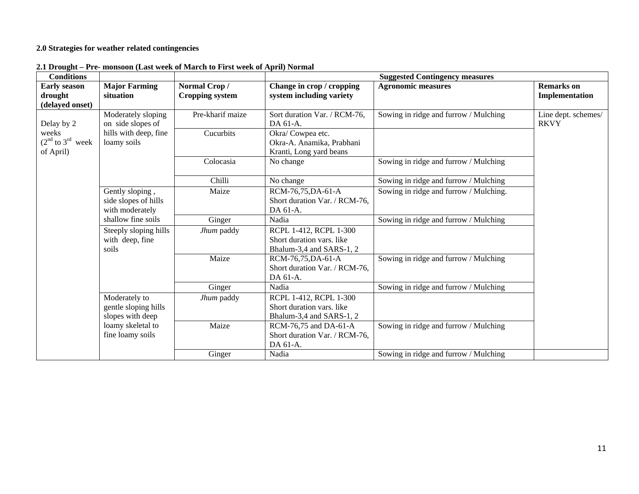## **2.0 Strategies for weather related contingencies**

| <b>Conditions</b>    |                       |                        | <b>Suggested Contingency measures</b> |                                        |                     |  |
|----------------------|-----------------------|------------------------|---------------------------------------|----------------------------------------|---------------------|--|
| <b>Early season</b>  | <b>Major Farming</b>  | Normal Crop/           | Change in crop / cropping             | <b>Agronomic measures</b>              | <b>Remarks</b> on   |  |
| drought              | situation             | <b>Cropping system</b> | system including variety              |                                        | Implementation      |  |
| (delayed onset)      |                       |                        |                                       |                                        |                     |  |
|                      | Moderately sloping    | Pre-kharif maize       | Sort duration Var. / RCM-76,          | Sowing in ridge and furrow / Mulching  | Line dept. schemes/ |  |
| Delay by 2           | on side slopes of     |                        | DA 61-A.                              |                                        | <b>RKVY</b>         |  |
| weeks                | hills with deep, fine | Cucurbits              | Okra/Cowpea etc.                      |                                        |                     |  |
| $(2nd$ to $3rd$ week | loamy soils           |                        | Okra-A. Anamika, Prabhani             |                                        |                     |  |
| of April)            |                       |                        | Kranti, Long yard beans               |                                        |                     |  |
|                      |                       | Colocasia              | No change                             | Sowing in ridge and furrow / Mulching  |                     |  |
|                      |                       |                        |                                       |                                        |                     |  |
|                      |                       | Chilli                 | No change                             | Sowing in ridge and furrow / Mulching  |                     |  |
|                      | Gently sloping,       | Maize                  | RCM-76,75, DA-61-A                    | Sowing in ridge and furrow / Mulching. |                     |  |
|                      | side slopes of hills  |                        | Short duration Var. / RCM-76,         |                                        |                     |  |
|                      | with moderately       |                        | DA 61-A.                              |                                        |                     |  |
|                      | shallow fine soils    | Ginger                 | Nadia                                 | Sowing in ridge and furrow / Mulching  |                     |  |
|                      | Steeply sloping hills | Jhum paddy             | RCPL 1-412, RCPL 1-300                |                                        |                     |  |
|                      | with deep, fine       |                        | Short duration vars. like             |                                        |                     |  |
|                      | soils                 |                        | Bhalum-3,4 and SARS-1, 2              |                                        |                     |  |
|                      |                       | Maize                  | RCM-76,75, DA-61-A                    | Sowing in ridge and furrow / Mulching  |                     |  |
|                      |                       |                        | Short duration Var. / RCM-76,         |                                        |                     |  |
|                      |                       |                        | DA 61-A.                              |                                        |                     |  |
|                      |                       | Ginger                 | Nadia                                 | Sowing in ridge and furrow / Mulching  |                     |  |
|                      | Moderately to         | Jhum paddy             | RCPL 1-412, RCPL 1-300                |                                        |                     |  |
|                      | gentle sloping hills  |                        | Short duration vars. like             |                                        |                     |  |
|                      | slopes with deep      |                        | Bhalum-3,4 and SARS-1, 2              |                                        |                     |  |
|                      | loamy skeletal to     | Maize                  | RCM-76,75 and DA-61-A                 | Sowing in ridge and furrow / Mulching  |                     |  |
|                      | fine loamy soils      |                        | Short duration Var. / RCM-76,         |                                        |                     |  |
|                      |                       |                        | DA 61-A.                              |                                        |                     |  |
|                      |                       | Ginger                 | Nadia                                 | Sowing in ridge and furrow / Mulching  |                     |  |

**2.1 Drought – Pre- monsoon (Last week of March to First week of April) Normal**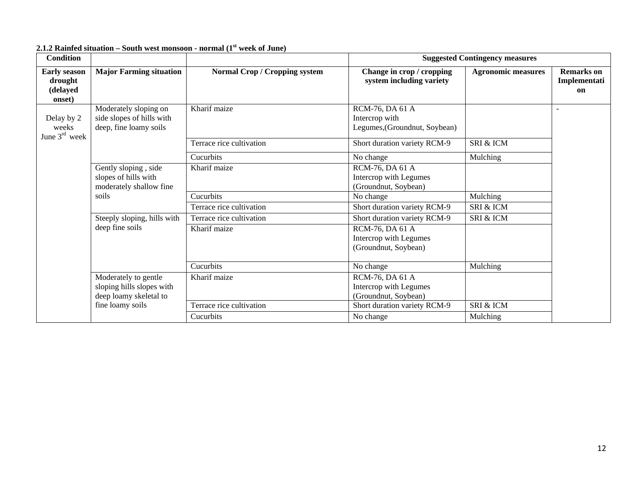| <b>Condition</b>                                     |                                                                              |                                      | <b>Suggested Contingency measures</b>                              |                           |                                         |
|------------------------------------------------------|------------------------------------------------------------------------------|--------------------------------------|--------------------------------------------------------------------|---------------------------|-----------------------------------------|
| <b>Early season</b><br>drought<br>(delayed<br>onset) | <b>Major Farming situation</b>                                               | <b>Normal Crop / Cropping system</b> | Change in crop / cropping<br>system including variety              | <b>Agronomic measures</b> | <b>Remarks</b> on<br>Implementati<br>on |
| Delay by 2<br>weeks<br>June $3rd$ week               | Moderately sloping on<br>side slopes of hills with<br>deep, fine loamy soils | Kharif maize                         | RCM-76, DA 61 A<br>Intercrop with<br>Legumes, (Groundnut, Soybean) |                           |                                         |
|                                                      |                                                                              | Terrace rice cultivation             | Short duration variety RCM-9                                       | SRI & ICM                 |                                         |
|                                                      |                                                                              | Cucurbits                            | No change                                                          | Mulching                  |                                         |
|                                                      | Gently sloping, side<br>slopes of hills with<br>moderately shallow fine      | Kharif maize                         | RCM-76, DA 61 A<br>Intercrop with Legumes<br>(Groundnut, Soybean)  |                           |                                         |
|                                                      | soils                                                                        | Cucurbits                            | No change                                                          | Mulching                  |                                         |
|                                                      |                                                                              | Terrace rice cultivation             | Short duration variety RCM-9                                       | SRI & ICM                 |                                         |
|                                                      | Steeply sloping, hills with                                                  | Terrace rice cultivation             | Short duration variety RCM-9                                       | SRI & ICM                 |                                         |
|                                                      | deep fine soils                                                              | Kharif maize                         | RCM-76, DA 61 A<br>Intercrop with Legumes<br>(Groundnut, Soybean)  |                           |                                         |
|                                                      |                                                                              | Cucurbits                            | No change                                                          | Mulching                  |                                         |
|                                                      | Moderately to gentle<br>sloping hills slopes with<br>deep loamy skeletal to  | Kharif maize                         | RCM-76, DA 61 A<br>Intercrop with Legumes<br>(Groundnut, Soybean)  |                           |                                         |
|                                                      | fine loamy soils                                                             | Terrace rice cultivation             | Short duration variety RCM-9                                       | SRI & ICM                 |                                         |
|                                                      |                                                                              | Cucurbits                            | No change                                                          | Mulching                  |                                         |

## **2.1.2 Rainfed situation – South west monsoon - normal (1st week of June)**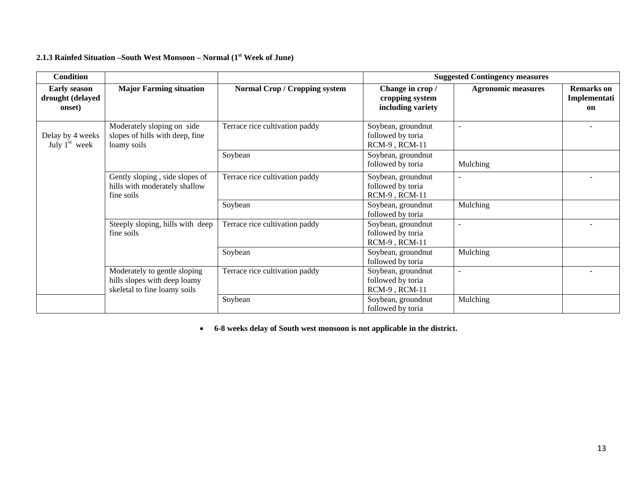## **2.1.3 Rainfed Situation –South West Monsoon – Normal (1st Week of June)**

| <b>Condition</b>                                  |                                                                                              |                                      | <b>Suggested Contingency measures</b>                         |                           |                                         |
|---------------------------------------------------|----------------------------------------------------------------------------------------------|--------------------------------------|---------------------------------------------------------------|---------------------------|-----------------------------------------|
| <b>Early season</b><br>drought (delayed<br>onset) | <b>Major Farming situation</b>                                                               | <b>Normal Crop / Cropping system</b> | Change in crop /<br>cropping system<br>including variety      | <b>Agronomic measures</b> | <b>Remarks</b> on<br>Implementati<br>on |
| Delay by 4 weeks<br>July $1st$ week               | Moderately sloping on side<br>slopes of hills with deep, fine<br>loamy soils                 | Terrace rice cultivation paddy       | Soybean, groundnut<br>followed by toria<br>RCM-9, RCM-11      | $\sim$                    |                                         |
|                                                   |                                                                                              | Soybean                              | Soybean, groundnut<br>followed by toria                       | Mulching                  |                                         |
|                                                   | Gently sloping, side slopes of<br>hills with moderately shallow<br>fine soils                | Terrace rice cultivation paddy       | Soybean, groundnut<br>followed by toria<br>RCM-9, RCM-11      |                           |                                         |
|                                                   |                                                                                              | Soybean                              | Soybean, groundnut<br>followed by toria                       | Mulching                  |                                         |
|                                                   | Steeply sloping, hills with deep<br>fine soils                                               | Terrace rice cultivation paddy       | Soybean, groundnut<br>followed by toria<br>RCM-9, RCM-11      | $\overline{\phantom{a}}$  |                                         |
|                                                   |                                                                                              | Soybean                              | Soybean, groundnut<br>followed by toria                       | Mulching                  |                                         |
|                                                   | Moderately to gentle sloping<br>hills slopes with deep loamy<br>skeletal to fine loamy soils | Terrace rice cultivation paddy       | Soybean, groundnut<br>followed by toria<br>$RCM-9$ , $RCM-11$ | $\sim$                    |                                         |
|                                                   |                                                                                              | Soybean                              | Soybean, groundnut<br>followed by toria                       | Mulching                  |                                         |

• **6-8 weeks delay of South west monsoon is not applicable in the district.**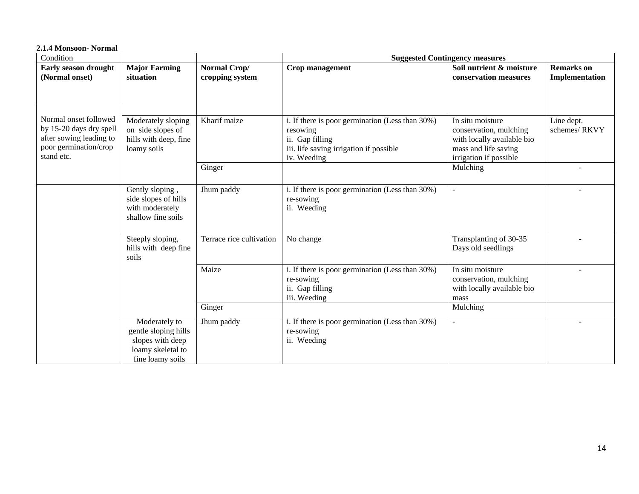#### **2.1.4 Monsoon- Normal**

| Condition                                                                                                          |                                                                                                    |                                 | <b>Suggested Contingency measures</b>                                                                                                    |                                                                                                                            |                                     |
|--------------------------------------------------------------------------------------------------------------------|----------------------------------------------------------------------------------------------------|---------------------------------|------------------------------------------------------------------------------------------------------------------------------------------|----------------------------------------------------------------------------------------------------------------------------|-------------------------------------|
| Early season drought<br>(Normal onset)                                                                             | <b>Major Farming</b><br>situation                                                                  | Normal Crop/<br>cropping system | Crop management                                                                                                                          | Soil nutrient & moisture<br>conservation measures                                                                          | <b>Remarks</b> on<br>Implementation |
|                                                                                                                    |                                                                                                    |                                 |                                                                                                                                          |                                                                                                                            |                                     |
| Normal onset followed<br>by 15-20 days dry spell<br>after sowing leading to<br>poor germination/crop<br>stand etc. | Moderately sloping<br>on side slopes of<br>hills with deep, fine<br>loamy soils                    | Kharif maize                    | i. If there is poor germination (Less than 30%)<br>resowing<br>ii. Gap filling<br>iii. life saving irrigation if possible<br>iv. Weeding | In situ moisture<br>conservation, mulching<br>with locally available bio<br>mass and life saving<br>irrigation if possible | Line dept.<br>schemes/RKVY          |
|                                                                                                                    |                                                                                                    | Ginger                          |                                                                                                                                          | Mulching                                                                                                                   |                                     |
|                                                                                                                    | Gently sloping,<br>side slopes of hills<br>with moderately<br>shallow fine soils                   | Jhum paddy                      | i. If there is poor germination (Less than 30%)<br>re-sowing<br>ii. Weeding                                                              | $\sim$                                                                                                                     |                                     |
|                                                                                                                    | Steeply sloping,<br>hills with deep fine<br>soils                                                  | Terrace rice cultivation        | No change                                                                                                                                | Transplanting of 30-35<br>Days old seedlings                                                                               |                                     |
|                                                                                                                    |                                                                                                    | Maize                           | i. If there is poor germination (Less than 30%)<br>re-sowing<br>ii. Gap filling<br>iii. Weeding                                          | In situ moisture<br>conservation, mulching<br>with locally available bio<br>mass                                           |                                     |
|                                                                                                                    |                                                                                                    | Ginger                          |                                                                                                                                          | Mulching                                                                                                                   |                                     |
|                                                                                                                    | Moderately to<br>gentle sloping hills<br>slopes with deep<br>loamy skeletal to<br>fine loamy soils | Jhum paddy                      | i. If there is poor germination (Less than 30%)<br>re-sowing<br>ii. Weeding                                                              |                                                                                                                            |                                     |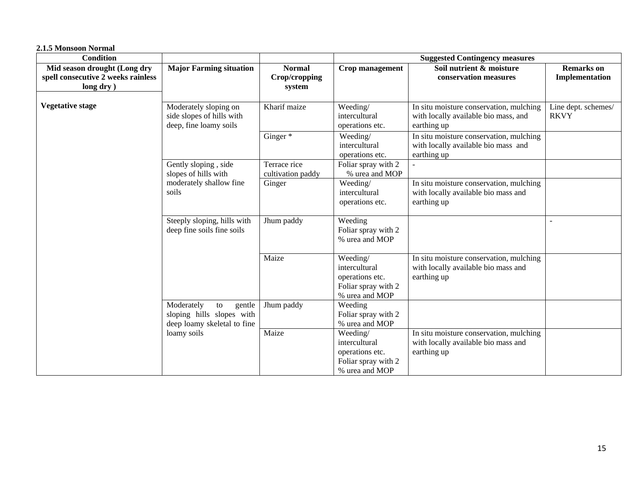| 2.1.5 Monsoon Normal                                                            |                                                                                                |                                          |                                                                                       |                                                                                                |                                     |
|---------------------------------------------------------------------------------|------------------------------------------------------------------------------------------------|------------------------------------------|---------------------------------------------------------------------------------------|------------------------------------------------------------------------------------------------|-------------------------------------|
| <b>Condition</b>                                                                |                                                                                                |                                          |                                                                                       | <b>Suggested Contingency measures</b>                                                          |                                     |
| Mid season drought (Long dry<br>spell consecutive 2 weeks rainless<br>long dry) | <b>Major Farming situation</b>                                                                 | <b>Normal</b><br>Crop/cropping<br>system | Crop management                                                                       | Soil nutrient & moisture<br>conservation measures                                              | <b>Remarks</b> on<br>Implementation |
| <b>Vegetative stage</b>                                                         | Moderately sloping on<br>side slopes of hills with<br>deep, fine loamy soils                   | Kharif maize                             | Weeding/<br>intercultural<br>operations etc.                                          | In situ moisture conservation, mulching<br>with locally available bio mass, and<br>earthing up | Line dept. schemes/<br><b>RKVY</b>  |
|                                                                                 |                                                                                                | Ginger*                                  | Weeding/<br>intercultural<br>operations etc.                                          | In situ moisture conservation, mulching<br>with locally available bio mass and<br>earthing up  |                                     |
|                                                                                 | Gently sloping, side<br>slopes of hills with                                                   | Terrace rice<br>cultivation paddy        | Foliar spray with 2<br>% urea and MOP                                                 |                                                                                                |                                     |
|                                                                                 | moderately shallow fine<br>soils                                                               | Ginger                                   | Weeding/<br>intercultural<br>operations etc.                                          | In situ moisture conservation, mulching<br>with locally available bio mass and<br>earthing up  |                                     |
|                                                                                 | Steeply sloping, hills with<br>deep fine soils fine soils                                      | Jhum paddy                               | Weeding<br>Foliar spray with 2<br>% urea and MOP                                      |                                                                                                | $\blacksquare$                      |
|                                                                                 |                                                                                                | Maize                                    | Weeding/<br>intercultural<br>operations etc.<br>Foliar spray with 2<br>% urea and MOP | In situ moisture conservation, mulching<br>with locally available bio mass and<br>earthing up  |                                     |
|                                                                                 | Moderately<br>${\rm to}$<br>gentle<br>sloping hills slopes with<br>deep loamy skeletal to fine | Jhum paddy                               | Weeding<br>Foliar spray with 2<br>% urea and MOP                                      |                                                                                                |                                     |
|                                                                                 | loamy soils                                                                                    | Maize                                    | Weeding/<br>intercultural<br>operations etc.<br>Foliar spray with 2<br>% urea and MOP | In situ moisture conservation, mulching<br>with locally available bio mass and<br>earthing up  |                                     |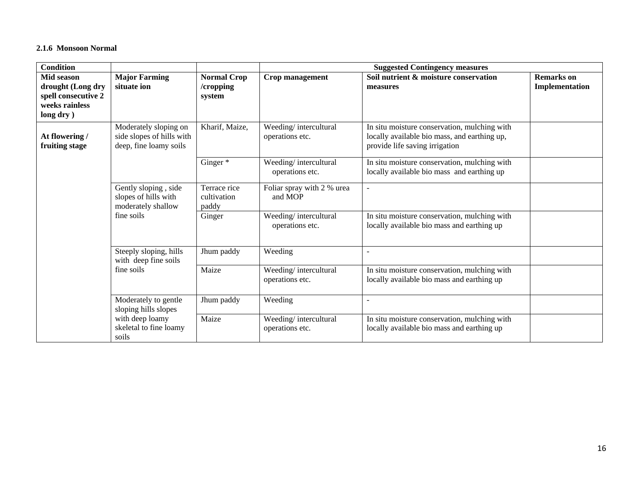#### **2.1.6 Monsoon Normal**

| <b>Condition</b>                                                                       |                                                                              |                                           | <b>Suggested Contingency measures</b>    |                                                                                                                                |                                     |  |
|----------------------------------------------------------------------------------------|------------------------------------------------------------------------------|-------------------------------------------|------------------------------------------|--------------------------------------------------------------------------------------------------------------------------------|-------------------------------------|--|
| Mid season<br>drought (Long dry<br>spell consecutive 2<br>weeks rainless<br>long dry ) | <b>Major Farming</b><br>situate ion                                          | <b>Normal Crop</b><br>/cropping<br>system | Crop management                          | Soil nutrient & moisture conservation<br>measures                                                                              | <b>Remarks</b> on<br>Implementation |  |
| At flowering /<br>fruiting stage                                                       | Moderately sloping on<br>side slopes of hills with<br>deep, fine loamy soils | Kharif, Maize,                            | Weeding/intercultural<br>operations etc. | In situ moisture conservation, mulching with<br>locally available bio mass, and earthing up,<br>provide life saving irrigation |                                     |  |
|                                                                                        |                                                                              | Ginger*                                   | Weeding/intercultural<br>operations etc. | In situ moisture conservation, mulching with<br>locally available bio mass and earthing up                                     |                                     |  |
|                                                                                        | Gently sloping, side<br>slopes of hills with<br>moderately shallow           | Terrace rice<br>cultivation<br>paddy      | Foliar spray with 2 % urea<br>and MOP    | $\sim$                                                                                                                         |                                     |  |
|                                                                                        | fine soils                                                                   | Ginger                                    | Weeding/intercultural<br>operations etc. | In situ moisture conservation, mulching with<br>locally available bio mass and earthing up                                     |                                     |  |
|                                                                                        | Steeply sloping, hills<br>with deep fine soils                               | Jhum paddy                                | Weeding                                  | $\blacksquare$                                                                                                                 |                                     |  |
|                                                                                        | fine soils                                                                   | Maize                                     | Weeding/intercultural<br>operations etc. | In situ moisture conservation, mulching with<br>locally available bio mass and earthing up                                     |                                     |  |
|                                                                                        | Moderately to gentle<br>sloping hills slopes                                 | Jhum paddy                                | Weeding                                  |                                                                                                                                |                                     |  |
|                                                                                        | with deep loamy<br>skeletal to fine loamy<br>soils                           | Maize                                     | Weeding/intercultural<br>operations etc. | In situ moisture conservation, mulching with<br>locally available bio mass and earthing up                                     |                                     |  |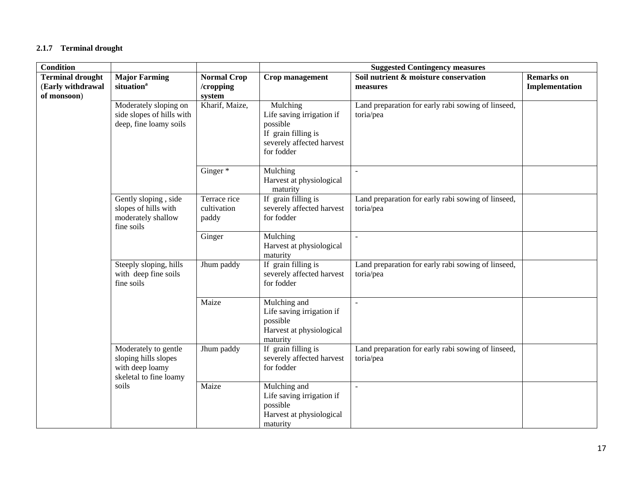## **2.1.7 Terminal drought**

| <b>Condition</b>                                            |                                                                                           |                                           | <b>Suggested Contingency measures</b>                                                                               |                                                                 |                                     |  |
|-------------------------------------------------------------|-------------------------------------------------------------------------------------------|-------------------------------------------|---------------------------------------------------------------------------------------------------------------------|-----------------------------------------------------------------|-------------------------------------|--|
| <b>Terminal drought</b><br>(Early withdrawal<br>of monsoon) | <b>Major Farming</b><br>situation <sup>a</sup>                                            | <b>Normal Crop</b><br>/cropping<br>system | Crop management                                                                                                     | Soil nutrient & moisture conservation<br>measures               | <b>Remarks</b> on<br>Implementation |  |
|                                                             | Moderately sloping on<br>side slopes of hills with<br>deep, fine loamy soils              | Kharif, Maize,                            | Mulching<br>Life saving irrigation if<br>possible<br>If grain filling is<br>severely affected harvest<br>for fodder | Land preparation for early rabi sowing of linseed,<br>toria/pea |                                     |  |
|                                                             |                                                                                           | Ginger $\overline{\ast}$                  | Mulching<br>Harvest at physiological<br>maturity                                                                    | $\sim$                                                          |                                     |  |
|                                                             | Gently sloping, side<br>slopes of hills with<br>moderately shallow<br>fine soils          | Terrace rice<br>cultivation<br>paddy      | If grain filling is<br>severely affected harvest<br>for fodder                                                      | Land preparation for early rabi sowing of linseed,<br>toria/pea |                                     |  |
|                                                             |                                                                                           | Ginger                                    | Mulching<br>Harvest at physiological<br>maturity                                                                    | $\sim$                                                          |                                     |  |
|                                                             | Steeply sloping, hills<br>with deep fine soils<br>fine soils                              | Jhum paddy                                | If grain filling is<br>severely affected harvest<br>for fodder                                                      | Land preparation for early rabi sowing of linseed,<br>toria/pea |                                     |  |
|                                                             |                                                                                           | Maize                                     | Mulching and<br>Life saving irrigation if<br>possible<br>Harvest at physiological<br>maturity                       | $\sim$                                                          |                                     |  |
|                                                             | Moderately to gentle<br>sloping hills slopes<br>with deep loamy<br>skeletal to fine loamy | Jhum paddy                                | If grain filling is<br>severely affected harvest<br>for fodder                                                      | Land preparation for early rabi sowing of linseed,<br>toria/pea |                                     |  |
|                                                             | soils                                                                                     | Maize                                     | Mulching and<br>Life saving irrigation if<br>possible<br>Harvest at physiological<br>maturity                       | $\overline{a}$                                                  |                                     |  |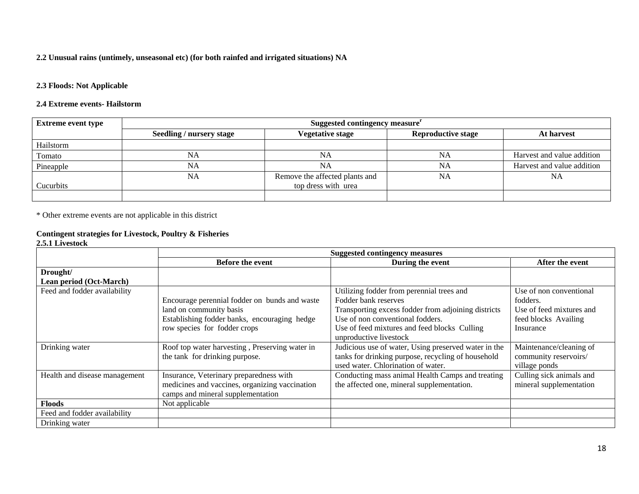## **2.2 Unusual rains (untimely, unseasonal etc) (for both rainfed and irrigated situations) NA**

## **2.3 Floods: Not Applicable**

### **2.4 Extreme events- Hailstorm**

| <b>Extreme event type</b> | Suggested contingency measure <sup>r</sup> |                                                       |                           |                            |
|---------------------------|--------------------------------------------|-------------------------------------------------------|---------------------------|----------------------------|
|                           | Seedling / nursery stage                   | <b>Vegetative stage</b>                               | <b>Reproductive stage</b> | At harvest                 |
| Hailstorm                 |                                            |                                                       |                           |                            |
| Tomato                    | <b>NA</b>                                  | NA                                                    | NA                        | Harvest and value addition |
| Pineapple                 | NA                                         | NA                                                    | NA                        | Harvest and value addition |
| Cucurbits                 | NA                                         | Remove the affected plants and<br>top dress with urea | <b>NA</b>                 | NA                         |
|                           |                                            |                                                       |                           |                            |

\* Other extreme events are not applicable in this district

#### **Contingent strategies for Livestock, Poultry & Fisheries 2.5.1 Livestock**

|                               | <b>Suggested contingency measures</b>          |                                                      |                          |
|-------------------------------|------------------------------------------------|------------------------------------------------------|--------------------------|
|                               | <b>Before the event</b>                        | During the event                                     | After the event          |
| Drought/                      |                                                |                                                      |                          |
| Lean period (Oct-March)       |                                                |                                                      |                          |
| Feed and fodder availability  |                                                | Utilizing fodder from perennial trees and            | Use of non conventional  |
|                               | Encourage perennial fodder on bunds and waste  | Fodder bank reserves                                 | fodders.                 |
|                               | land on community basis                        | Transporting excess fodder from adjoining districts  | Use of feed mixtures and |
|                               | Establishing fodder banks, encouraging hedge   | Use of non conventional fodders.                     | feed blocks Availing     |
|                               | row species for fodder crops                   | Use of feed mixtures and feed blocks Culling         | Insurance                |
|                               |                                                | unproductive livestock                               |                          |
| Drinking water                | Roof top water harvesting, Preserving water in | Judicious use of water, Using preserved water in the | Maintenance/cleaning of  |
|                               | the tank for drinking purpose.                 | tanks for drinking purpose, recycling of household   | community reservoirs/    |
|                               |                                                | used water. Chlorination of water.                   | village ponds            |
| Health and disease management | Insurance, Veterinary preparedness with        | Conducting mass animal Health Camps and treating     | Culling sick animals and |
|                               | medicines and vaccines, organizing vaccination | the affected one, mineral supplementation.           | mineral supplementation  |
|                               | camps and mineral supplementation              |                                                      |                          |
| <b>Floods</b>                 | Not applicable                                 |                                                      |                          |
| Feed and fodder availability  |                                                |                                                      |                          |
| Drinking water                |                                                |                                                      |                          |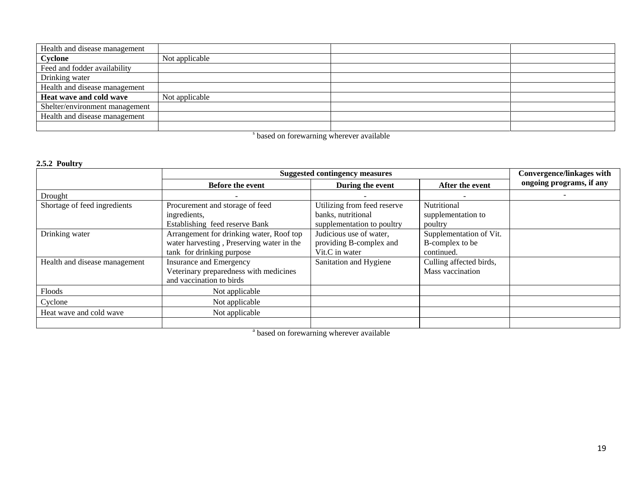| Health and disease management  |                |  |
|--------------------------------|----------------|--|
| Cyclone                        | Not applicable |  |
| Feed and fodder availability   |                |  |
| Drinking water                 |                |  |
| Health and disease management  |                |  |
| Heat wave and cold wave        | Not applicable |  |
| Shelter/environment management |                |  |
| Health and disease management  |                |  |
|                                |                |  |

<sup>s</sup> based on forewarning wherever available

## **2.5.2 Poultry**

|                               | <b>Suggested contingency measures</b>     |                             |                         | <b>Convergence/linkages with</b> |
|-------------------------------|-------------------------------------------|-----------------------------|-------------------------|----------------------------------|
|                               | <b>Before the event</b>                   | During the event            | After the event         | ongoing programs, if any         |
| Drought                       |                                           |                             |                         |                                  |
| Shortage of feed ingredients  | Procurement and storage of feed           | Utilizing from feed reserve | Nutritional             |                                  |
|                               | ingredients,                              | banks, nutritional          | supplementation to      |                                  |
|                               | Establishing feed reserve Bank            | supplementation to poultry  | poultry                 |                                  |
| Drinking water                | Arrangement for drinking water, Roof top  | Judicious use of water,     | Supplementation of Vit. |                                  |
|                               | water harvesting, Preserving water in the | providing B-complex and     | B-complex to be         |                                  |
|                               | tank for drinking purpose                 | Vit.C in water              | continued.              |                                  |
| Health and disease management | Insurance and Emergency                   | Sanitation and Hygiene      | Culling affected birds, |                                  |
|                               | Veterinary preparedness with medicines    |                             | Mass vaccination        |                                  |
|                               | and vaccination to birds                  |                             |                         |                                  |
| Floods                        | Not applicable                            |                             |                         |                                  |
| Cyclone                       | Not applicable                            |                             |                         |                                  |
| Heat wave and cold wave       | Not applicable                            |                             |                         |                                  |
|                               |                                           |                             |                         |                                  |

<sup>a</sup> based on forewarning wherever available